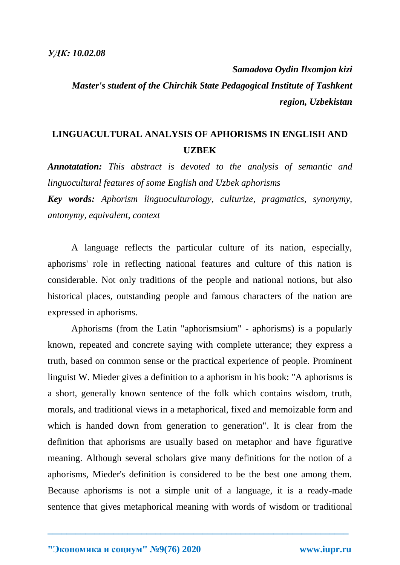*Samadova Oydin Ilxomjon kizi Master's student of the Chirchik State Pedagogical Institute of Tashkent region, Uzbekistan*

## **LINGUACULTURAL ANALYSIS OF APHORISMS IN ENGLISH AND UZBEK**

*Annotatation: This abstract is devoted to the analysis of semantic and linguocultural features of some English and Uzbek aphorisms*

*Key words: Aphorism linguoculturology, culturize, pragmatics, synonymy, antonymy, equivalent, context*

A language reflects the particular culture of its nation, especially, aphorisms' role in reflecting national features and culture of this nation is considerable. Not only traditions of the people and national notions, but also historical places, outstanding people and famous characters of the nation are expressed in aphorisms.

Aphorisms (from the Latin "aphorismsium" - aphorisms) is a popularly known, repeated and concrete saying with complete utterance; they express a truth, based on common sense or the practical experience of people. Prominent linguist W. Mieder gives a definition to a aphorism in his book: "A aphorisms is a short, generally known sentence of the folk which contains wisdom, truth, morals, and traditional views in a metaphorical, fixed and memoizable form and which is handed down from generation to generation". It is clear from the definition that aphorisms are usually based on metaphor and have figurative meaning. Although several scholars give many definitions for the notion of a aphorisms, Mieder's definition is considered to be the best one among them. Because aphorisms is not a simple unit of a language, it is a ready-made sentence that gives metaphorical meaning with words of wisdom or traditional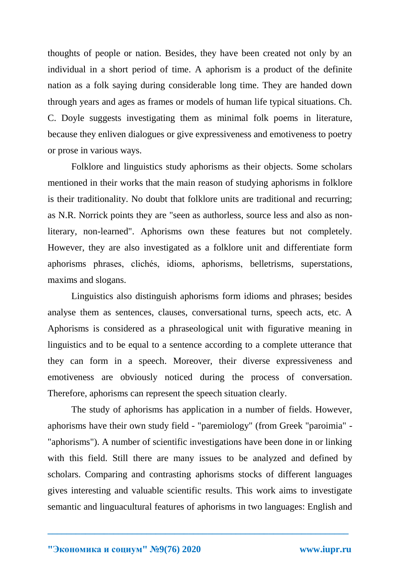thoughts of people or nation. Besides, they have been created not only by an individual in a short period of time. A aphorism is a product of the definite nation as a folk saying during considerable long time. They are handed down through years and ages as frames or models of human life typical situations. Ch. C. Doyle suggests investigating them as minimal folk poems in literature, because they enliven dialogues or give expressiveness and emotiveness to poetry or prose in various ways.

Folklore and linguistics study aphorisms as their objects. Some scholars mentioned in their works that the main reason of studying aphorisms in folklore is their traditionality. No doubt that folklore units are traditional and recurring; as N.R. Norrick points they are "seen as authorless, source less and also as nonliterary, non-learned". Aphorisms own these features but not completely. However, they are also investigated as a folklore unit and differentiate form aphorisms phrases, clichés, idioms, aphorisms, belletrisms, superstations, maxims and slogans.

Linguistics also distinguish aphorisms form idioms and phrases; besides analyse them as sentences, clauses, conversational turns, speech acts, etc. A Aphorisms is considered as a phraseological unit with figurative meaning in linguistics and to be equal to a sentence according to a complete utterance that they can form in a speech. Moreover, their diverse expressiveness and emotiveness are obviously noticed during the process of conversation. Therefore, aphorisms can represent the speech situation clearly.

The study of aphorisms has application in a number of fields. However, aphorisms have their own study field - "paremiology" (from Greek "paroimia" - "aphorisms"). A number of scientific investigations have been done in or linking with this field. Still there are many issues to be analyzed and defined by scholars. Comparing and contrasting aphorisms stocks of different languages gives interesting and valuable scientific results. This work aims to investigate semantic and linguacultural features of aphorisms in two languages: English and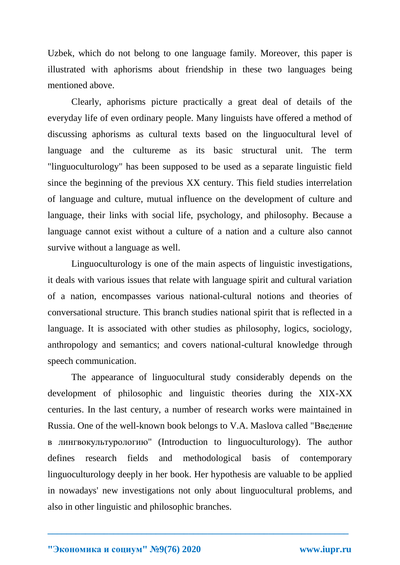Uzbek, which do not belong to one language family. Moreover, this paper is illustrated with aphorisms about friendship in these two languages being mentioned above.

Clearly, aphorisms picture practically a great deal of details of the everyday life of even ordinary people. Many linguists have offered a method of discussing aphorisms as cultural texts based on the linguocultural level of language and the cultureme as its basic structural unit. The term "linguoculturology" has been supposed to be used as a separate linguistic field since the beginning of the previous XX century. This field studies interrelation of language and culture, mutual influence on the development of culture and language, their links with social life, psychology, and philosophy. Because a language cannot exist without a culture of a nation and a culture also cannot survive without a language as well.

Linguoculturology is one of the main aspects of linguistic investigations, it deals with various issues that relate with language spirit and cultural variation of a nation, encompasses various national-cultural notions and theories of conversational structure. This branch studies national spirit that is reflected in a language. It is associated with other studies as philosophy, logics, sociology, anthropology and semantics; and covers national-cultural knowledge through speech communication.

The appearance of linguocultural study considerably depends on the development of philosophic and linguistic theories during the XIX-XX centuries. In the last century, a number of research works were maintained in Russia. One of the well-known book belongs to V.A. Maslova called "Введение в лингвокультурологию" (Introduction to linguoculturology). The author defines research fields and methodological basis of contemporary linguoculturology deeply in her book. Her hypothesis are valuable to be applied in nowadays' new investigations not only about linguocultural problems, and also in other linguistic and philosophic branches.

**<sup>&</sup>quot;Экономика и социум" №9(76) 2020 www.iupr.ru**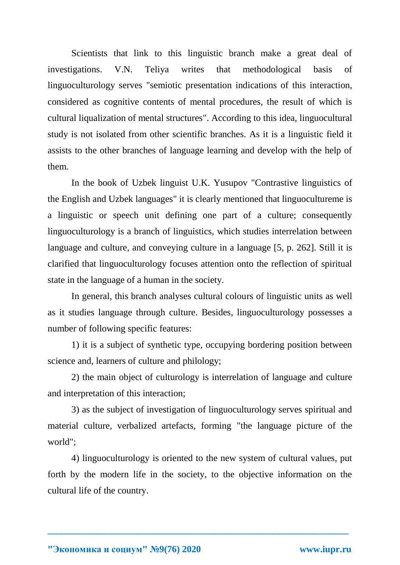Scientists that link to this linguistic branch make a great deal of investigations. V.N. Teliya writes that methodological basis of linguoculturology serves "semiotic presentation indications of this interaction, considered as cognitive contents of mental procedures, the result of which is cultural liqualization of mental structures". According to this idea, linguocultural study is not isolated from other scientific branches. As it is a linguistic field it assists to the other branches of language learning and develop with the help of them.

In the book of Uzbek linguist U.K. Yusupov "Contrastive linguistics of the English and Uzbek languages" it is clearly mentioned that linguocultureme is a linguistic or speech unit defining one part of a culture; consequently linguoculturology is a branch of linguistics, which studies interrelation between language and culture, and conveying culture in a language [5, p. 262]. Still it is clarified that linguoculturology focuses attention onto the reflection of spiritual state in the language of a human in the society.

In general, this branch analyses cultural colours of linguistic units as well as it studies language through culture. Besides, linguoculturology possesses a number of following specific features:

1) it is a subject of synthetic type, occupying bordering position between science and, learners of culture and philology;

2) the main object of culturology is interrelation of language and culture and interpretation of this interaction;

3) as the subject of investigation of linguoculturology serves spiritual and material culture, verbalized artefacts, forming "the language picture of the world";

4) linguoculturology is oriented to the new system of cultural values, put forth by the modern life in the society, to the objective information on the cultural life of the country.